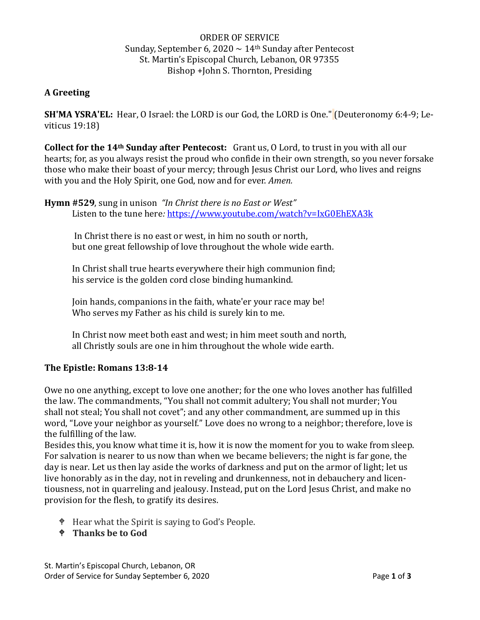## ORDER OF SERVICE Sunday, September 6, 2020  $\sim$  14<sup>th</sup> Sunday after Pentecost St. Martin's Episcopal Church, Lebanon, OR 97355 Bishop +John S. Thornton, Presiding

### **A Greeting**

**SH'MA YSRA'EL:** Hear, O Israel: the LORD is our God, the LORD is One." (Deuteronomy 6:4-9; Leviticus 19:18)

**Collect for the 14th Sunday after Pentecost:** Grant us, O Lord, to trust in you with all our hearts; for, as you always resist the proud who confide in their own strength, so you never forsake those who make their boast of your mercy; through Jesus Christ our Lord, who lives and reigns with you and the Holy Spirit, one God, now and for ever. *Amen.*

**Hymn #529**, sung in unison *"In Christ there is no East or West"* Listen to the tune here: <https://www.youtube.com/watch?v=IxG0EhEXA3k>

In Christ there is no east or west, in him no south or north, but one great fellowship of love throughout the whole wide earth.

In Christ shall true hearts everywhere their high communion find; his service is the golden cord close binding humankind.

Join hands, companions in the faith, whate'er your race may be! Who serves my Father as his child is surely kin to me.

In Christ now meet both east and west; in him meet south and north, all Christly souls are one in him throughout the whole wide earth.

#### **The Epistle: Romans 13:8-14**

Owe no one anything, except to love one another; for the one who loves another has fulfilled the law. The commandments, "You shall not commit adultery; You shall not murder; You shall not steal; You shall not covet"; and any other commandment, are summed up in this word, "Love your neighbor as yourself." Love does no wrong to a neighbor; therefore, love is the fulfilling of the law.

Besides this, you know what time it is, how it is now the moment for you to wake from sleep. For salvation is nearer to us now than when we became believers; the night is far gone, the day is near. Let us then lay aside the works of darkness and put on the armor of light; let us live honorably as in the day, not in reveling and drunkenness, not in debauchery and licentiousness, not in quarreling and jealousy. Instead, put on the Lord Jesus Christ, and make no provision for the flesh, to gratify its desires.

- <sup> $\phi$ </sup> Hear what the Spirit is saying to God's People.
- **Thanks be to God**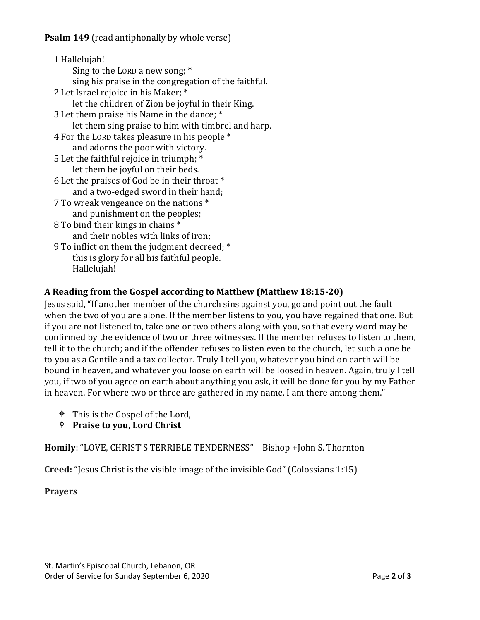1 Hallelujah! Sing to the LORD a new song; \* sing his praise in the congregation of the faithful. 2 Let Israel rejoice in his Maker; \* let the children of Zion be joyful in their King. 3 Let them praise his Name in the dance; \* let them sing praise to him with timbrel and harp. 4 For the LORD takes pleasure in his people \* and adorns the poor with victory. 5 Let the faithful rejoice in triumph; \* let them be joyful on their beds. 6 Let the praises of God be in their throat \* and a two-edged sword in their hand; 7 To wreak vengeance on the nations \* and punishment on the peoples; 8 To bind their kings in chains \* and their nobles with links of iron; 9 To inflict on them the judgment decreed; \* this is glory for all his faithful people. Hallelujah!

# **A Reading from the Gospel according to Matthew (Matthew 18:15-20)**

Jesus said, "If another member of the church sins against you, go and point out the fault when the two of you are alone. If the member listens to you, you have regained that one. But if you are not listened to, take one or two others along with you, so that every word may be confirmed by the evidence of two or three witnesses. If the member refuses to listen to them, tell it to the church; and if the offender refuses to listen even to the church, let such a one be to you as a Gentile and a tax collector. Truly I tell you, whatever you bind on earth will be bound in heaven, and whatever you loose on earth will be loosed in heaven. Again, truly I tell you, if two of you agree on earth about anything you ask, it will be done for you by my Father in heaven. For where two or three are gathered in my name, I am there among them."

- <sup> $\bullet$ </sup> This is the Gospel of the Lord,
- **Praise to you, Lord Christ**

**Homily**: "LOVE, CHRIST'S TERRIBLE TENDERNESS" – Bishop +John S. Thornton

**Creed:** "Jesus Christ is the visible image of the invisible God" (Colossians 1:15)

**Prayers**